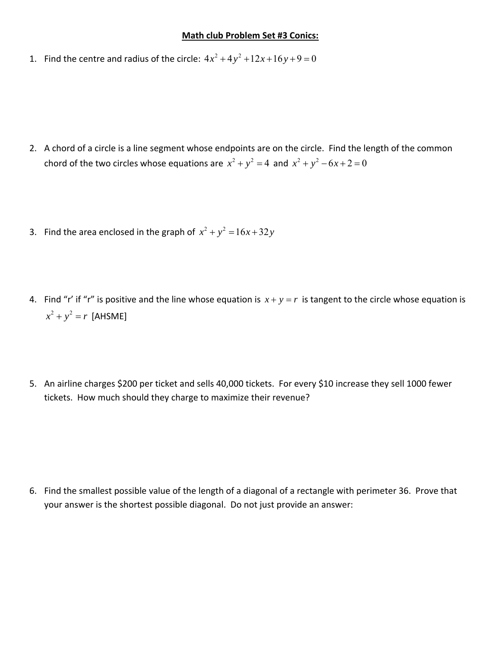## **Math club Problem Set #3 Conics:**

1. Find the centre and radius of the circle:  $4x^2 + 4y^2 + 12x + 16y + 9 = 0$ 

- 2. A chord of a circle is a line segment whose endpoints are on the circle. Find the length of the common chord of the two circles whose equations are  $x^2 + y^2 = 4$  and  $x^2 + y^2 - 6x + 2 = 0$
- 3. Find the area enclosed in the graph of  $x^2 + y^2 = 16x + 32y$
- 4. Find "r' if "r" is positive and the line whose equation is  $x + y = r$  is tangent to the circle whose equation is  $x^2 + y^2 = r$  [AHSME]
- 5. An airline charges \$200 per ticket and sells 40,000 tickets. For every \$10 increase they sell 1000 fewer tickets. How much should they charge to maximize their revenue?

6. Find the smallest possible value of the length of a diagonal of a rectangle with perimeter 36. Prove that your answer is the shortest possible diagonal. Do not just provide an answer: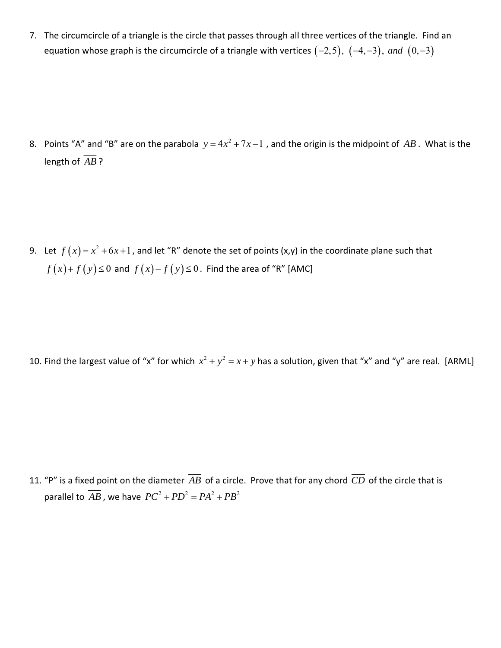7. The circumcircle of a triangle is the circle that passes through all three vertices of the triangle. Find an equation whose graph is the circumcircle of a triangle with vertices  $(-2,5)$ ,  $(-4, -3)$ , and  $(0, -3)$ 

8. Points "A" and "B" are on the parabola  $y = 4x^2 + 7x - 1$  , and the origin is the midpoint of  $AB$  . What is the length of  $\overline{AB}$ ?

9. Let  $f(x) = x^2 + 6x + 1$ , and let "R" denote the set of points (x,y) in the coordinate plane such that  $f(x) + f(y) \le 0$  and  $f(x) - f(y) \le 0$ . Find the area of "R" [AMC]

10. Find the largest value of "x" for which  $x^2 + y^2 = x + y$  has a solution, given that "x" and "y" are real. [ARML]

11. "P" is a fixed point on the diameter  $\overline{AB}$  of a circle. Prove that for any chord  $\overline{CD}$  of the circle that is parallel to  $\overline{AB}$ , we have  $PC^2 + PD^2 = PA^2 + PB^2$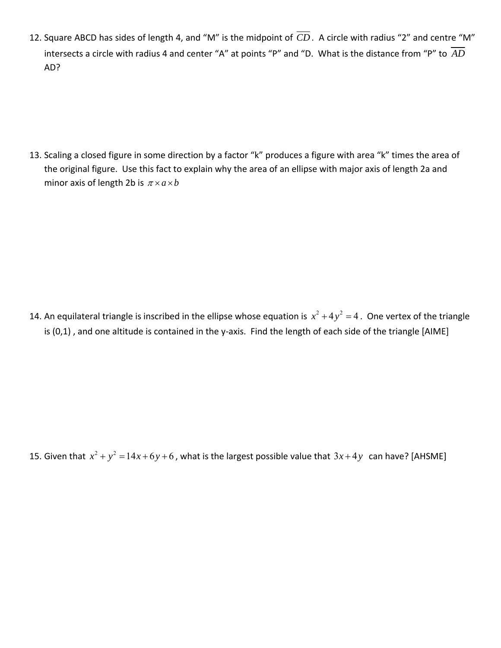12. Square ABCD has sides of length 4, and "M" is the midpoint of  $\overline{CD}$ . A circle with radius "2" and centre "M" intersects a circle with radius 4 and center "A" at points "P" and "D. What is the distance from "P" to  $\overline{AD}$ AD?

13. Scaling a closed figure in some direction by a factor "k" produces a figure with area "k" times the area of the original figure. Use this fact to explain why the area of an ellipse with major axis of length 2a and minor axis of length 2b is  $\pi \times a \times b$ 

14. An equilateral triangle is inscribed in the ellipse whose equation is  $x^2 + 4y^2 = 4$ . One vertex of the triangle is (0,1), and one altitude is contained in the y-axis. Find the length of each side of the triangle [AIME]

15. Given that  $x^2 + y^2 = 14x + 6y + 6$ , what is the largest possible value that  $3x + 4y$  can have? [AHSME]